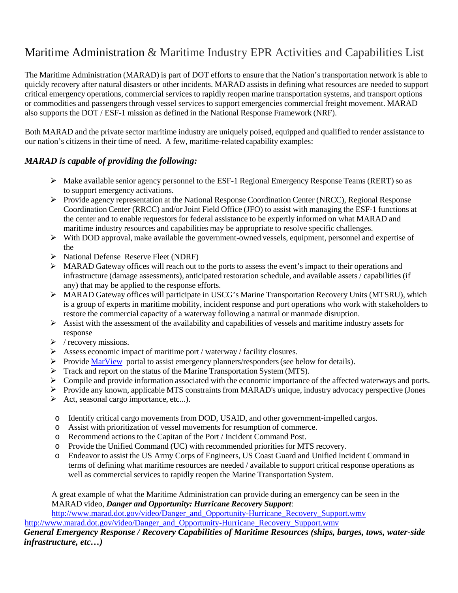# Maritime Administration & Maritime Industry EPR Activities and Capabilities List

The Maritime Administration (MARAD) is part of DOT efforts to ensure that the Nation's transportation network is able to quickly recovery after natural disasters or other incidents. MARAD assists in defining what resources are needed to support critical emergency operations, commercial services to rapidly reopen marine transportation systems, and transport options or commodities and passengers through vessel services to support emergencies commercial freight movement. MARAD also supports the DOT / ESF-1 mission as defined in the National Response Framework (NRF).

Both MARAD and the private sector maritime industry are uniquely poised, equipped and qualified to render assistance to our nation's citizens in their time of need. A few, maritime-related capability examples:

### *MARAD is capable of providing the following:*

- Make available senior agency personnel to the ESF-1 Regional Emergency Response Teams (RERT) so as to support emergency activations.
- Provide agency representation at the National Response Coordination Center (NRCC), Regional Response Coordination Center (RRCC) and/or Joint Field Office (JFO) to assist with managing the ESF-1 functions at the center and to enable requestors for federal assistance to be expertly informed on what MARAD and maritime industry resources and capabilities may be appropriate to resolve specific challenges.
- $\triangleright$  With DOD approval, make available the government-owned vessels, equipment, personnel and expertise of the
- ▶ National Defense Reserve Fleet (NDRF)
- MARAD Gateway offices will reach out to the ports to assess the event's impact to their operations and infrastructure (damage assessments), anticipated restoration schedule, and available assets / capabilities (if any) that may be applied to the response efforts.
- MARAD Gateway offices will participate in USCG's Marine Transportation Recovery Units (MTSRU), which is a group of experts in maritime mobility, incident response and port operations who work with stakeholdersto restore the commercial capacity of a waterway following a natural or manmade disruption.
- $\triangleright$  Assist with the assessment of the availability and capabilities of vessels and maritime industry assets for response
- $\triangleright$  / recovery missions.
- $\triangleright$  Assess economic impact of maritime port / waterway / facility closures.
- Provide MarView portal to assist emergency planners/responders (see below for details).
- Track and report on the status of the Marine Transportation System (MTS).
- $\triangleright$  Compile and provide information associated with the economic importance of the affected waterways and ports.
- Provide any known, applicable MTS constraints from MARAD's unique, industry advocacy perspective (Jones
- $\triangleright$  Act, seasonal cargo importance, etc...).
- o Identify critical cargo movements from DOD, USAID, and other government-impelled cargos.
- o Assist with prioritization of vessel movements for resumption of commerce.
- o Recommend actions to the Capitan of the Port / Incident Command Post.
- o Provide the Unified Command (UC) with recommended priorities for MTS recovery.<br>  $\circ$  Endeavor to assist the US Army Corps of Engineers. US Coast Guard and Unified Inc
- Endeavor to assist the US Army Corps of Engineers, US Coast Guard and Unified Incident Command in terms of defining what maritime resources are needed / available to support critical response operations as well as commercial services to rapidly reopen the Marine Transportation System.

A great example of what the Maritime Administration can provide during an emergency can be seen in the MARAD video, *Danger and Opportunity: Hurricane Recovery Support*:

[http://www.marad.dot.gov/video/Danger\\_and\\_Opportunity-Hurricane\\_Recovery\\_Support.wmv](http://www.marad.dot.gov/video/Danger_and_Opportunity-Hurricane_Recovery_Support.wmv)

http://www.marad.dot.gov/video/Danger\_and\_Opportunity-Hurricane\_Recovery\_Support.wmv

### *General Emergency Response / Recovery Capabilities of Maritime Resources (ships, barges, tows, water-side infrastructure, etc…)*